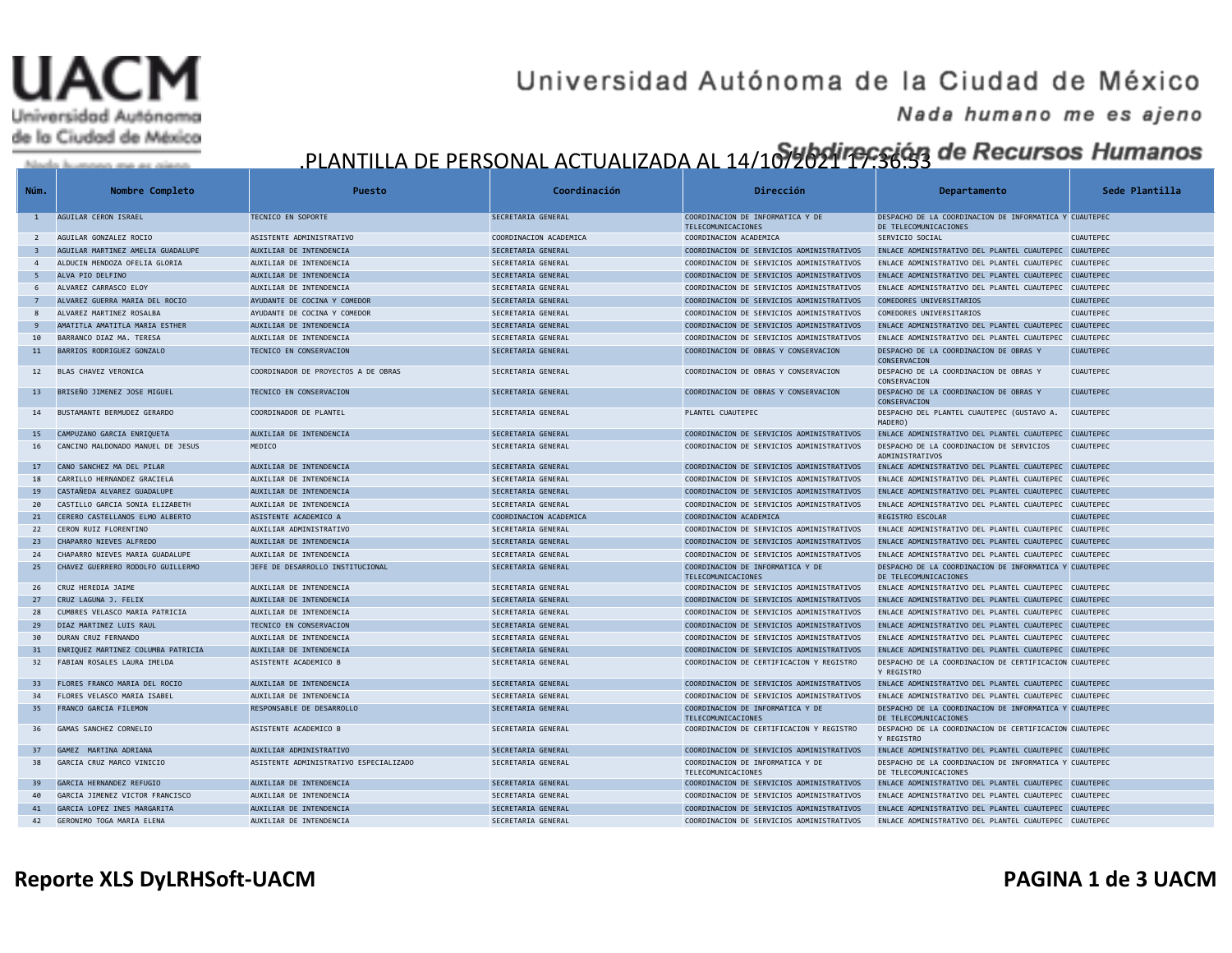# Universidad Autónoma de la Ciudad de México

### Universidad Autónoma de la Ciudad de México

#### Nada humano me es ajeno

### .PLANTILLA DE PERSONAL ACTUALIZADA AL 14/10<mark>790941 1995 (43 de *Recursos Humanos*</mark>

| Núm.                    | Nombre Completo                                                   | Puesto                                           | Coordinación                             | Dirección                                                                             | Departamento                                                                                                    | Sede Plantilla   |
|-------------------------|-------------------------------------------------------------------|--------------------------------------------------|------------------------------------------|---------------------------------------------------------------------------------------|-----------------------------------------------------------------------------------------------------------------|------------------|
| $\mathbf{1}$            | AGUILAR CERON ISRAEL                                              | TECNICO EN SOPORTE                               | SECRETARIA GENERAL                       | COORDINACION DE INFORMATICA Y DE<br>TELECOMUNICACIONES                                | DESPACHO DE LA COORDINACION DE INFORMATICA Y CUAUTEPEC<br>DE TELECOMUNICACIONES                                 |                  |
| $\overline{2}$          | AGUILAR GONZALEZ ROCIO                                            | ASISTENTE ADMINISTRATIVO                         | COORDINACION ACADEMICA                   | COORDINACION ACADEMICA                                                                | SERVICIO SOCIAL                                                                                                 | <b>CUAUTEPEC</b> |
| $\overline{\mathbf{3}}$ | AGUILAR MARTINEZ AMELIA GUADALUPE                                 | AUXILIAR DE INTENDENCIA                          | SECRETARIA GENERAL                       | COORDINACION DE SERVICIOS ADMINISTRATIVOS                                             | ENLACE ADMINISTRATIVO DEL PLANTEL CUAUTEPEC CUAUTEPEC                                                           |                  |
| $\overline{4}$          | ALDUCIN MENDOZA OFELIA GLORIA                                     | AUXILIAR DE INTENDENCIA                          | SECRETARIA GENERAL                       | COORDINACION DE SERVICIOS ADMINISTRATIVOS                                             | ENLACE ADMINISTRATIVO DEL PLANTEL CUAUTEPEC CUAUTEPEC                                                           |                  |
| - 5                     | ALVA PIO DELFINO                                                  | AUXILIAR DE INTENDENCIA                          | SECRETARIA GENERAL                       | COORDINACION DE SERVICIOS ADMINISTRATIVOS                                             | ENLACE ADMINISTRATIVO DEL PLANTEL CUAUTEPEC CUAUTEPEC                                                           |                  |
| 6                       | ALVAREZ CARRASCO ELOY                                             | AUXILIAR DE INTENDENCIA                          | SECRETARIA GENERAL                       | COORDINACION DE SERVICIOS ADMINISTRATIVOS                                             | ENLACE ADMINISTRATIVO DEL PLANTEL CUAUTEPEC CUAUTEPEC                                                           |                  |
| $\overline{7}$          | ALVAREZ GUERRA MARIA DEL ROCIO                                    | AYUDANTE DE COCINA Y COMEDOR                     | SECRETARIA GENERAL                       | COORDINACION DE SERVICIOS ADMINISTRATIVOS                                             | COMEDORES UNIVERSITARIOS                                                                                        | <b>CUAUTEPEC</b> |
| 8                       | ALVAREZ MARTINEZ ROSALBA                                          | AYUDANTE DE COCINA Y COMEDOR                     | SECRETARIA GENERAL                       | COORDINACION DE SERVICIOS ADMINISTRATIVOS                                             | COMEDORES UNIVERSITARIOS                                                                                        | <b>CUAUTEPEC</b> |
| 9                       | AMATITLA AMATITLA MARIA ESTHER                                    | AUXILIAR DE INTENDENCIA                          | SECRETARIA GENERAL                       | COORDINACION DE SERVICIOS ADMINISTRATIVOS                                             | ENLACE ADMINISTRATIVO DEL PLANTEL CUAUTEPEC CUAUTEPEC                                                           |                  |
| 10                      | BARRANCO DIAZ MA. TERESA                                          | AUXILIAR DE INTENDENCIA                          | SECRETARIA GENERAL                       | COORDINACION DE SERVICIOS ADMINISTRATIVOS                                             | ENLACE ADMINISTRATIVO DEL PLANTEL CUAUTEPEC CUAUTEPEC                                                           |                  |
| 11                      | BARRIOS RODRIGUEZ GONZALO                                         | TECNICO EN CONSERVACION                          | SECRETARIA GENERAL                       | COORDINACION DE OBRAS Y CONSERVACION                                                  | DESPACHO DE LA COORDINACION DE OBRAS Y<br>CONSERVACION                                                          | <b>CUAUTEPEC</b> |
| 12                      | BLAS CHAVEZ VERONICA                                              | COORDINADOR DE PROYECTOS A DE OBRAS              | SECRETARIA GENERAL                       | COORDINACION DE OBRAS Y CONSERVACION                                                  | DESPACHO DE LA COORDINACION DE OBRAS Y<br>CONSERVACION                                                          | <b>CUAUTEPEC</b> |
| 13                      | BRISEÑO JIMENEZ JOSE MIGUEL                                       | TECNICO EN CONSERVACION                          | SECRETARIA GENERAL                       | COORDINACION DE OBRAS Y CONSERVACION                                                  | DESPACHO DE LA COORDINACION DE OBRAS Y<br>CONSERVACION                                                          | <b>CUAUTEPEC</b> |
| 14                      | BUSTAMANTE BERMUDEZ GERARDO                                       | COORDINADOR DE PLANTEL                           | SECRETARIA GENERAL                       | PLANTEL CUAUTEPEC                                                                     | DESPACHO DEL PLANTEL CUAUTEPEC (GUSTAVO A.<br>MADERO)                                                           | CUAUTEPEC        |
| 15                      | CAMPUZANO GARCIA ENRIQUETA                                        | AUXILIAR DE INTENDENCIA                          | SECRETARIA GENERAL                       | COORDINACION DE SERVICIOS ADMINISTRATIVOS                                             | ENLACE ADMINISTRATIVO DEL PLANTEL CUAUTEPEC CUAUTEPEC                                                           |                  |
| 16                      | CANCINO MALDONADO MANUEL DE JESUS                                 | MEDICO                                           | SECRETARIA GENERAL                       | COORDINACION DE SERVICIOS ADMINISTRATIVOS                                             | DESPACHO DE LA COORDINACION DE SERVICIOS<br>ADMINISTRATIVOS                                                     | <b>CUAUTEPEC</b> |
| 17                      | CANO SANCHEZ MA DEL PILAR                                         | AUXILIAR DE INTENDENCIA                          | SECRETARIA GENERAL                       | COORDINACION DE SERVICIOS ADMINISTRATIVOS                                             | ENLACE ADMINISTRATIVO DEL PLANTEL CUAUTEPEC CUAUTEPEC                                                           |                  |
| 18                      | CARRILLO HERNANDEZ GRACIELA                                       | AUXILIAR DE INTENDENCIA                          | SECRETARIA GENERAL                       | COORDINACION DE SERVICIOS ADMINISTRATIVOS                                             | ENLACE ADMINISTRATIVO DEL PLANTEL CUAUTEPEC CUAUTEPEC                                                           |                  |
| 19                      | CASTAÑEDA ALVAREZ GUADALUPE                                       | AUXILIAR DE INTENDENCIA                          | SECRETARIA GENERAL                       | COORDINACION DE SERVICIOS ADMINISTRATIVOS                                             | ENLACE ADMINISTRATIVO DEL PLANTEL CUAUTEPEC CUAUTEPEC                                                           |                  |
| 20                      | CASTILLO GARCIA SONIA ELIZABETH                                   | AUXILIAR DE INTENDENCIA                          | SECRETARIA GENERAL                       | COORDINACION DE SERVICIOS ADMINISTRATIVOS                                             | ENLACE ADMINISTRATIVO DEL PLANTEL CUAUTEPEC CUAUTEPEC                                                           |                  |
| 21                      | CERERO CASTELLANOS ELMO ALBERTO                                   | ASISTENTE ACADEMICO A                            | COORDINACION ACADEMICA                   | COORDINACION ACADEMICA                                                                | <b>REGISTRO ESCOLAR</b>                                                                                         | <b>CUAUTEPEC</b> |
| 22                      | CERON RUIZ FLORENTINO                                             | AUXILIAR ADMINISTRATIVO                          | SECRETARIA GENERAL                       | COORDINACION DE SERVICIOS ADMINISTRATIVOS                                             | ENLACE ADMINISTRATIVO DEL PLANTEL CUAUTEPEC CUAUTEPEC                                                           |                  |
| 23                      | CHAPARRO NIEVES ALFREDO                                           | AUXILIAR DE INTENDENCIA                          | SECRETARIA GENERAL                       | COORDINACION DE SERVICIOS ADMINISTRATIVOS                                             | ENLACE ADMINISTRATIVO DEL PLANTEL CUAUTEPEC CUAUTEPEC                                                           |                  |
| 24                      | CHAPARRO NIEVES MARIA GUADALUPE                                   | AUXILIAR DE INTENDENCIA                          | SECRETARIA GENERAL                       | COORDINACION DE SERVICIOS ADMINISTRATIVOS                                             | ENLACE ADMINISTRATIVO DEL PLANTEL CUAUTEPEC CUAUTEPEC                                                           |                  |
| 25                      | CHAVEZ GUERRERO RODOLFO GUILLERMO                                 | JEFE DE DESARROLLO INSTITUCIONAL                 | SECRETARIA GENERAL                       | COORDINACION DE INFORMATICA Y DE<br>TELECOMUNICACIONES                                | DESPACHO DE LA COORDINACION DE INFORMATICA Y CUAUTEPEC<br>DE TELECOMUNICACIONES                                 |                  |
| 26                      | CRUZ HEREDIA JAIME                                                | AUXILIAR DE INTENDENCIA                          | SECRETARIA GENERAL                       | COORDINACION DE SERVICIOS ADMINISTRATIVOS                                             | ENLACE ADMINISTRATIVO DEL PLANTEL CUAUTEPEC CUAUTEPEC                                                           |                  |
| 27                      | CRUZ LAGUNA J. FELIX                                              | AUXILIAR DE INTENDENCIA                          | SECRETARIA GENERAL                       | COORDINACION DE SERVICIOS ADMINISTRATIVOS                                             | ENLACE ADMINISTRATIVO DEL PLANTEL CUAUTEPEC CUAUTEPEC                                                           |                  |
| 28                      | CUMBRES VELASCO MARIA PATRICIA                                    | AUXILIAR DE INTENDENCIA                          | SECRETARIA GENERAL                       | COORDINACION DE SERVICIOS ADMINISTRATIVOS                                             | ENLACE ADMINISTRATIVO DEL PLANTEL CUAUTEPEC CUAUTEPEC                                                           |                  |
| 29<br>30                | DIAZ MARTINEZ LUIS RAUL                                           | TECNICO EN CONSERVACION                          | SECRETARIA GENERAL                       | COORDINACION DE SERVICIOS ADMINISTRATIVOS                                             | ENLACE ADMINISTRATIVO DEL PLANTEL CUAUTEPEC CUAUTEPEC                                                           |                  |
|                         | DURAN CRUZ FERNANDO                                               | AUXILIAR DE INTENDENCIA                          | SECRETARIA GENERAL                       | COORDINACION DE SERVICIOS ADMINISTRATIVOS                                             | ENLACE ADMINISTRATIVO DEL PLANTEL CUAUTEPEC CUAUTEPEC                                                           |                  |
| 31<br>32                | ENRIQUEZ MARTINEZ COLUMBA PATRICIA<br>FABIAN ROSALES LAURA IMELDA | AUXILIAR DE INTENDENCIA<br>ASISTENTE ACADEMICO B | SECRETARIA GENERAL<br>SECRETARIA GENERAL | COORDINACION DE SERVICIOS ADMINISTRATIVOS<br>COORDINACION DE CERTIFICACION Y REGISTRO | ENLACE ADMINISTRATIVO DEL PLANTEL CUAUTEPEC CUAUTEPEC<br>DESPACHO DE LA COORDINACION DE CERTIFICACION CUAUTEPEC |                  |
| 33 <sup>2</sup>         | FLORES FRANCO MARIA DEL ROCIO                                     | AUXILIAR DE INTENDENCIA                          | SECRETARIA GENERAL                       | COORDINACION DE SERVICIOS ADMINISTRATIVOS                                             | Y REGISTRO<br>ENLACE ADMINISTRATIVO DEL PLANTEL CUAUTEPEC CUAUTEPEC                                             |                  |
| 34                      | FLORES VELASCO MARIA ISABEL                                       | AUXILIAR DE INTENDENCIA                          | SECRETARIA GENERAL                       | COORDINACION DE SERVICIOS ADMINISTRATIVOS                                             | ENLACE ADMINISTRATIVO DEL PLANTEL CUAUTEPEC CUAUTEPEC                                                           |                  |
| 35                      | FRANCO GARCIA FILEMON                                             | RESPONSABLE DE DESARROLLO                        | SECRETARIA GENERAL                       | COORDINACION DE INFORMATICA Y DE<br>TELECOMUNICACIONES                                | DESPACHO DE LA COORDINACION DE INFORMATICA Y CUAUTEPEC<br>DE TELECOMUNICACIONES                                 |                  |
| 36                      | GAMAS SANCHEZ CORNELIO                                            | ASISTENTE ACADEMICO B                            | SECRETARIA GENERAL                       | COORDINACION DE CERTIFICACION Y REGISTRO                                              | DESPACHO DE LA COORDINACION DE CERTIFICACION CUAUTEPEC<br>Y REGISTRO                                            |                  |
| 37                      | GAMEZ MARTINA ADRIANA                                             | AUXILIAR ADMINISTRATIVO                          | SECRETARIA GENERAL                       | COORDINACION DE SERVICIOS ADMINISTRATIVOS                                             | ENLACE ADMINISTRATIVO DEL PLANTEL CUAUTEPEC CUAUTEPEC                                                           |                  |
| 38                      | GARCIA CRUZ MARCO VINICIO                                         | ASISTENTE ADMINISTRATIVO ESPECIALIZADO           | SECRETARIA GENERAL                       | COORDINACION DE INFORMATICA Y DE<br>TELECOMUNICACIONES                                | DESPACHO DE LA COORDINACION DE INFORMATICA Y CUAUTEPEC<br>DE TELECOMUNICACIONES                                 |                  |
| 39                      | GARCIA HERNANDEZ REFUGIO                                          | AUXILIAR DE INTENDENCIA                          | SECRETARIA GENERAL                       | COORDINACION DE SERVICIOS ADMINISTRATIVOS                                             | ENLACE ADMINISTRATIVO DEL PLANTEL CUAUTEPEC CUAUTEPEC                                                           |                  |
| 40                      | GARCIA JIMENEZ VICTOR FRANCISCO                                   | AUXILIAR DE INTENDENCIA                          | SECRETARIA GENERAL                       | COORDINACION DE SERVICIOS ADMINISTRATIVOS                                             | ENLACE ADMINISTRATIVO DEL PLANTEL CUAUTEPEC CUAUTEPEC                                                           |                  |
| 41                      | GARCIA LOPEZ INES MARGARITA                                       | AUXILIAR DE INTENDENCIA                          | SECRETARIA GENERAL                       | COORDINACION DE SERVICIOS ADMINISTRATIVOS                                             | ENLACE ADMINISTRATIVO DEL PLANTEL CUAUTEPEC CUAUTEPEC                                                           |                  |
| 42                      | GERONIMO TOGA MARIA ELENA                                         | AUXILIAR DE INTENDENCIA                          | SECRETARIA GENERAL                       | COORDINACION DE SERVICIOS ADMINISTRATIVOS                                             | ENLACE ADMINISTRATIVO DEL PLANTEL CUAUTEPEC CUAUTEPEC                                                           |                  |

#### **Reporte XLS DyLRHSoft-UACM PAGINA 1 de 3 UACM**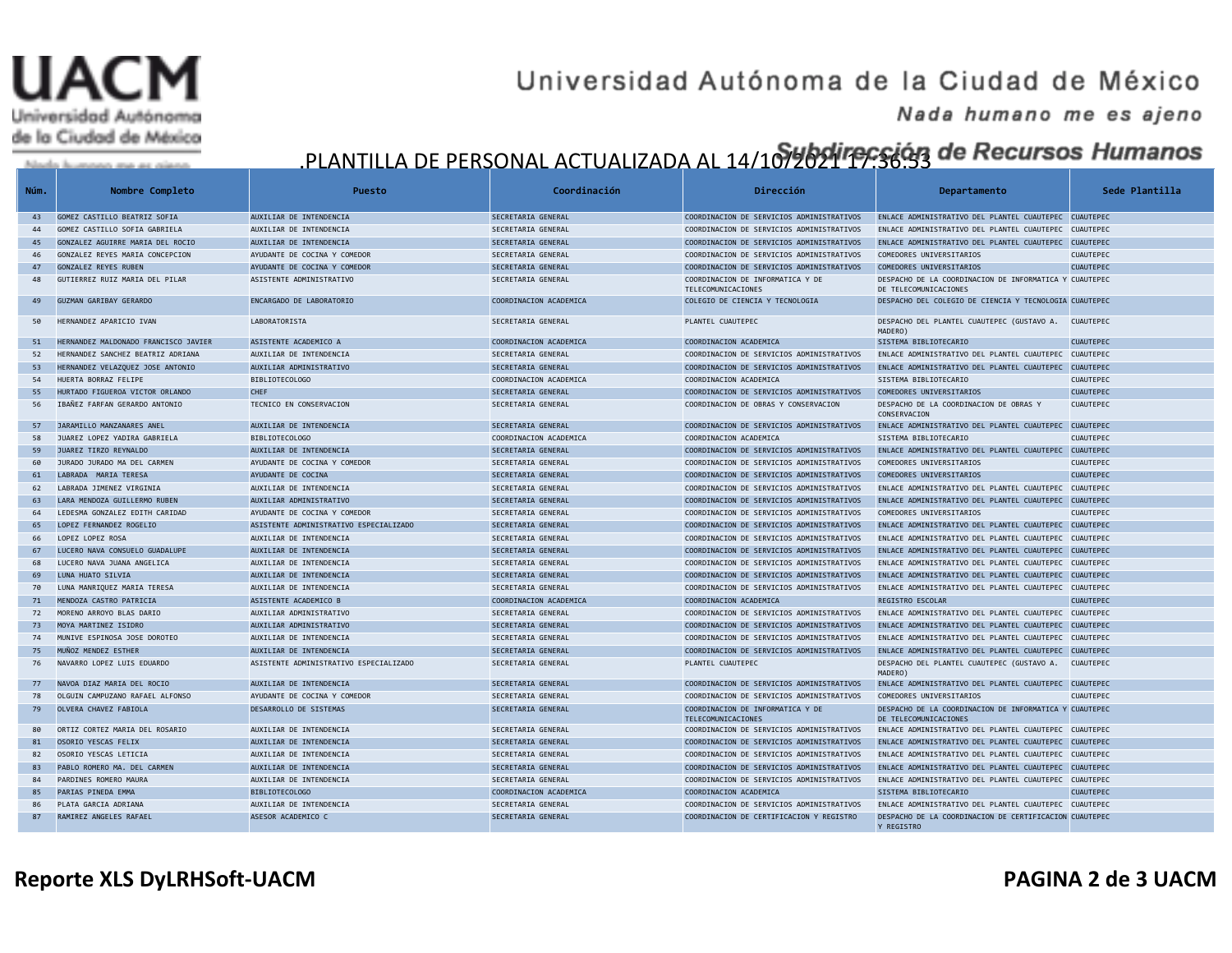# Universidad Autónoma de la Ciudad de México

## Universidad Autónoma de la Ciudad de México

#### Nada humano me es ajeno

## .PLANTILLA DE PERSONAL ACTUALIZADA AL 14/107202117955633 de Recursos Humanos

| Núm.     | Nombre Completo                                    | Puesto                                             | Coordinación                             | Dirección                                                                              | Departamento                                                                                                   | Sede Plantilla   |
|----------|----------------------------------------------------|----------------------------------------------------|------------------------------------------|----------------------------------------------------------------------------------------|----------------------------------------------------------------------------------------------------------------|------------------|
| 43       | GOMEZ CASTILLO BEATRIZ SOFIA                       | AUXILIAR DE INTENDENCIA                            | SECRETARIA GENERAL                       | COORDINACION DE SERVICIOS ADMINISTRATIVOS                                              | ENLACE ADMINISTRATIVO DEL PLANTEL CUAUTEPEC CUAUTEPEC                                                          |                  |
| 44       | GOMEZ CASTILLO SOFIA GABRIELA                      | AUXILIAR DE INTENDENCIA                            | SECRETARIA GENERAL                       | COORDINACION DE SERVICIOS ADMINISTRATIVOS                                              | ENLACE ADMINISTRATIVO DEL PLANTEL CUAUTEPEC CUAUTEPEC                                                          |                  |
| 45       | GONZALEZ AGUIRRE MARIA DEL ROCIO                   | AUXILIAR DE INTENDENCIA                            | SECRETARIA GENERAL                       | COORDINACION DE SERVICIOS ADMINISTRATIVOS                                              | ENLACE ADMINISTRATIVO DEL PLANTEL CUAUTEPEC CUAUTEPEC                                                          |                  |
| 46       | GONZALEZ REYES MARIA CONCEPCION                    | AYUDANTE DE COCINA Y COMEDOR                       | SECRETARIA GENERAL                       | COORDINACION DE SERVICIOS ADMINISTRATIVOS                                              | COMEDORES UNIVERSITARIOS                                                                                       | CUAUTEPEC        |
| 47       | <b>GONZALEZ REYES RUBEN</b>                        | AYUDANTE DE COCINA Y COMEDOR                       | SECRETARIA GENERAL                       | COORDINACION DE SERVICIOS ADMINISTRATIVOS                                              | COMEDORES UNIVERSITARIOS                                                                                       | <b>CUAUTEPEC</b> |
| 48       | GUTIERREZ RUIZ MARIA DEL PILAR                     | ASISTENTE ADMINISTRATIVO                           | SECRETARIA GENERAL                       | COORDINACION DE INFORMATICA Y DE<br>TELECOMUNICACIONES                                 | DESPACHO DE LA COORDINACION DE INFORMATICA Y CUAUTEPEC<br>DE TELECOMUNICACIONES                                |                  |
| 49       | GUZMAN GARIBAY GERARDO                             | ENCARGADO DE LABORATORIO                           | COORDINACION ACADEMICA                   | COLEGIO DE CIENCIA Y TECNOLOGIA                                                        | DESPACHO DEL COLEGIO DE CIENCIA Y TECNOLOGIA CUAUTEPEC                                                         |                  |
| 50       | HERNANDEZ APARICIO IVAN                            | LABORATORISTA                                      | SECRETARIA GENERAL                       | PLANTEL CUAUTEPEC                                                                      | DESPACHO DEL PLANTEL CUAUTEPEC (GUSTAVO A.<br>MADERO)                                                          | <b>CUAUTEPEC</b> |
| 51       | HERNANDEZ MALDONADO FRANCISCO JAVIER               | ASISTENTE ACADEMICO A                              | COORDINACION ACADEMICA                   | COORDINACION ACADEMICA                                                                 | SISTEMA BIBLIOTECARIO                                                                                          | CUAUTEPEC        |
| 52       | HERNANDEZ SANCHEZ BEATRIZ ADRIANA                  | AUXILIAR DE INTENDENCIA                            | SECRETARIA GENERAL                       | COORDINACION DE SERVICIOS ADMINISTRATIVOS                                              | ENLACE ADMINISTRATIVO DEL PLANTEL CUAUTEPEC CUAUTEPEC                                                          |                  |
| 53       | HERNANDEZ VELAZQUEZ JOSE ANTONIO                   | AUXILIAR ADMINISTRATIVO                            | SECRETARIA GENERAL                       | COORDINACION DE SERVICIOS ADMINISTRATIVOS                                              | ENLACE ADMINISTRATIVO DEL PLANTEL CUAUTEPEC                                                                    | CUAUTEPEC        |
| 54       | HUERTA BORRAZ FELIPE                               | BIBLIOTECOLOGO                                     | COORDINACION ACADEMICA                   | COORDINACION ACADEMICA                                                                 | SISTEMA BIBLIOTECARIO                                                                                          | <b>CUAUTEPEC</b> |
| 55       | HURTADO FIGUEROA VICTOR ORLANDO                    | <b>CHEF</b>                                        | SECRETARIA GENERAL                       | COORDINACION DE SERVICIOS ADMINISTRATIVOS                                              | COMEDORES UNIVERSITARIOS                                                                                       | <b>CUAUTEPEC</b> |
| 56       | IBAÑEZ FARFAN GERARDO ANTONIO                      | TECNICO EN CONSERVACION                            | SECRETARIA GENERAL                       | COORDINACION DE OBRAS Y CONSERVACION                                                   | DESPACHO DE LA COORDINACION DE OBRAS Y<br>CONSERVACION                                                         | <b>CUAUTEPEC</b> |
| 57       | JARAMILLO MANZANARES ANEL                          | AUXILIAR DE INTENDENCIA                            | SECRETARIA GENERAL                       | COORDINACION DE SERVICIOS ADMINISTRATIVOS                                              | ENLACE ADMINISTRATIVO DEL PLANTEL CUAUTEPEC                                                                    | <b>CUAUTEPEC</b> |
| 58       | JUAREZ LOPEZ YADIRA GABRIELA                       | BIBLIOTECOLOGO                                     | COORDINACION ACADEMICA                   | COORDINACION ACADEMICA                                                                 | SISTEMA BIBLIOTECARIO                                                                                          | <b>CUAUTEPEC</b> |
| 59       | JUAREZ TIRZO REYNALDO                              | AUXILIAR DE INTENDENCIA                            | SECRETARIA GENERAL                       | COORDINACION DE SERVICIOS ADMINISTRATIVOS                                              | ENLACE ADMINISTRATIVO DEL PLANTEL CUAUTEPEC CUAUTEPEC                                                          |                  |
| 60       | JURADO JURADO MA DEL CARMEN                        | AYUDANTE DE COCINA Y COMEDOR                       | SECRETARIA GENERAL                       | COORDINACION DE SERVICIOS ADMINISTRATIVOS                                              | COMEDORES UNIVERSITARIOS                                                                                       | <b>CUAUTEPEC</b> |
| 61       | LABRADA MARIA TERESA                               | AYUDANTE DE COCINA                                 | SECRETARIA GENERAL                       | COORDINACION DE SERVICIOS ADMINISTRATIVOS                                              | COMEDORES UNIVERSITARIOS                                                                                       | <b>CUAUTEPEC</b> |
| 62       | LABRADA JIMENEZ VIRGINIA                           | AUXILIAR DE INTENDENCIA                            | SECRETARIA GENERAL                       | COORDINACION DE SERVICIOS ADMINISTRATIVOS                                              | ENLACE ADMINISTRATIVO DEL PLANTEL CUAUTEPEC CUAUTEPEC                                                          |                  |
| 63       | LARA MENDOZA GUILLERMO RUBEN                       | AUXILIAR ADMINISTRATIVO                            | SECRETARIA GENERAL                       | COORDINACION DE SERVICIOS ADMINISTRATIVOS                                              | ENLACE ADMINISTRATIVO DEL PLANTEL CUAUTEPEC CUAUTEPEC                                                          |                  |
| 64       | LEDESMA GONZALEZ EDITH CARIDAD                     | AYUDANTE DE COCINA Y COMEDOR                       | SECRETARIA GENERAL                       | COORDINACION DE SERVICIOS ADMINISTRATIVOS                                              | COMEDORES UNIVERSITARIOS                                                                                       | <b>CUAUTEPEC</b> |
| 65       | LOPEZ FERNANDEZ ROGELIO                            | ASISTENTE ADMINISTRATIVO ESPECIALIZADO             | SECRETARIA GENERAL                       | COORDINACION DE SERVICIOS ADMINISTRATIVOS                                              | ENLACE ADMINISTRATIVO DEL PLANTEL CUAUTEPEC CUAUTEPEC                                                          |                  |
| 66<br>67 | LOPEZ LOPEZ ROSA<br>LUCERO NAVA CONSUELO GUADALUPE | AUXILIAR DE INTENDENCIA<br>AUXILIAR DE INTENDENCIA | SECRETARIA GENERAL<br>SECRETARIA GENERAL | COORDINACION DE SERVICIOS ADMINISTRATIVOS<br>COORDINACION DE SERVICIOS ADMINISTRATIVOS | ENLACE ADMINISTRATIVO DEL PLANTEL CUAUTEPEC CUAUTEPEC<br>ENLACE ADMINISTRATIVO DEL PLANTEL CUAUTEPEC CUAUTEPEC |                  |
| 68       | LUCERO NAVA JUANA ANGELICA                         | AUXILIAR DE INTENDENCIA                            | SECRETARIA GENERAL                       | COORDINACION DE SERVICIOS ADMINISTRATIVOS                                              | ENLACE ADMINISTRATIVO DEL PLANTEL CUAUTEPEC CUAUTEPEC                                                          |                  |
| 69       | LUNA HUATO SILVIA                                  | AUXILIAR DE INTENDENCIA                            | SECRETARIA GENERAL                       | COORDINACION DE SERVICIOS ADMINISTRATIVOS                                              | ENLACE ADMINISTRATIVO DEL PLANTEL CUAUTEPEC CUAUTEPEC                                                          |                  |
| 70       | LUNA MANRIQUEZ MARIA TERESA                        | AUXILIAR DE INTENDENCIA                            | SECRETARIA GENERAL                       | COORDINACION DE SERVICIOS ADMINISTRATIVOS                                              | ENLACE ADMINISTRATIVO DEL PLANTEL CUAUTEPEC CUAUTEPEC                                                          |                  |
| 71       | MENDOZA CASTRO PATRICIA                            | ASISTENTE ACADEMICO B                              | COORDINACION ACADEMICA                   | COORDINACION ACADEMICA                                                                 | REGISTRO ESCOLAR                                                                                               | <b>CUAUTEPEC</b> |
| 72       | MORENO ARROYO BLAS DARIO                           | AUXILIAR ADMINISTRATIVO                            | SECRETARIA GENERAL                       | COORDINACION DE SERVICIOS ADMINISTRATIVOS                                              | ENLACE ADMINISTRATIVO DEL PLANTEL CUAUTEPEC CUAUTEPEC                                                          |                  |
| 73       | MOYA MARTINEZ ISIDRO                               | AUXILIAR ADMINISTRATIVO                            | SECRETARIA GENERAL                       | COORDINACION DE SERVICIOS ADMINISTRATIVOS                                              | ENLACE ADMINISTRATIVO DEL PLANTEL CUAUTEPEC CUAUTEPEC                                                          |                  |
| 74       | MUNIVE ESPINOSA JOSE DOROTEO                       | AUXILIAR DE INTENDENCIA                            | SECRETARIA GENERAL                       | COORDINACION DE SERVICIOS ADMINISTRATIVOS                                              | ENLACE ADMINISTRATIVO DEL PLANTEL CUAUTEPEC CUAUTEPEC                                                          |                  |
| 75       | MUÑOZ MENDEZ ESTHER                                | AUXILIAR DE INTENDENCIA                            | SECRETARIA GENERAL                       | COORDINACION DE SERVICIOS ADMINISTRATIVOS                                              | ENLACE ADMINISTRATIVO DEL PLANTEL CUAUTEPEC CUAUTEPEC                                                          |                  |
| 76       | NAVARRO LOPEZ LUIS EDUARDO                         | ASISTENTE ADMINISTRATIVO ESPECIALIZADO             | SECRETARIA GENERAL                       | PLANTEL CUAUTEPEC                                                                      | DESPACHO DEL PLANTEL CUAUTEPEC (GUSTAVO A.<br>MADERO)                                                          | <b>CUAUTEPEC</b> |
| 77       | NAVOA DIAZ MARIA DEL ROCIO                         | AUXILIAR DE INTENDENCIA                            | SECRETARIA GENERAL                       | COORDINACION DE SERVICIOS ADMINISTRATIVOS                                              | ENLACE ADMINISTRATIVO DEL PLANTEL CUAUTEPEC CUAUTEPEC                                                          |                  |
| 78       | OLGUIN CAMPUZANO RAFAEL ALFONSO                    | AYUDANTE DE COCINA Y COMEDOR                       | SECRETARIA GENERAL                       | COORDINACION DE SERVICIOS ADMINISTRATIVOS                                              | COMEDORES UNIVERSITARIOS                                                                                       | CUAUTEPEC        |
| 79       | OLVERA CHAVEZ FABIOLA                              | DESARROLLO DE SISTEMAS                             | SECRETARIA GENERAL                       | COORDINACION DE INFORMATICA Y DE<br>TELECOMUNICACIONES                                 | DESPACHO DE LA COORDINACION DE INFORMATICA Y CUAUTEPEC<br>DE TELECOMUNICACIONES                                |                  |
| 80       | ORTIZ CORTEZ MARIA DEL ROSARIO                     | AUXILIAR DE INTENDENCIA                            | SECRETARIA GENERAL                       | COORDINACION DE SERVICIOS ADMINISTRATIVOS                                              | ENLACE ADMINISTRATIVO DEL PLANTEL CUAUTEPEC CUAUTEPEC                                                          |                  |
| 81       | OSORIO YESCAS FELIX                                | AUXILIAR DE INTENDENCIA                            | SECRETARIA GENERAL                       | COORDINACION DE SERVICIOS ADMINISTRATIVOS                                              | ENLACE ADMINISTRATIVO DEL PLANTEL CUAUTEPEC CUAUTEPEC                                                          |                  |
| 82       | OSORIO YESCAS LETICIA                              | AUXILIAR DE INTENDENCIA                            | SECRETARIA GENERAL                       | COORDINACION DE SERVICIOS ADMINISTRATIVOS                                              | ENLACE ADMINISTRATIVO DEL PLANTEL CUAUTEPEC CUAUTEPEC                                                          |                  |
| 83       | PABLO ROMERO MA. DEL CARMEN                        | AUXILIAR DE INTENDENCIA                            | SECRETARIA GENERAL                       | COORDINACION DE SERVICIOS ADMINISTRATIVOS                                              | ENLACE ADMINISTRATIVO DEL PLANTEL CUAUTEPEC CUAUTEPEC                                                          |                  |
| 84       | PARDINES ROMERO MAURA                              | AUXILIAR DE INTENDENCIA                            | SECRETARIA GENERAL                       | COORDINACION DE SERVICIOS ADMINISTRATIVOS                                              | ENLACE ADMINISTRATIVO DEL PLANTEL CUAUTEPEC CUAUTEPEC                                                          |                  |
| 85       | PARIAS PINEDA EMMA                                 | BIBLIOTECOLOGO                                     | COORDINACION ACADEMICA                   | COORDINACION ACADEMICA                                                                 | SISTEMA BIBLIOTECARIO                                                                                          | <b>CUAUTEPEC</b> |
| 86       | PLATA GARCIA ADRIANA                               | AUXILIAR DE INTENDENCIA                            | SECRETARIA GENERAL                       | COORDINACION DE SERVICIOS ADMINISTRATIVOS                                              | ENLACE ADMINISTRATIVO DEL PLANTEL CUAUTEPEC CUAUTEPEC                                                          |                  |
| 87       | RAMIREZ ANGELES RAFAEL                             | ASESOR ACADEMICO C                                 | SECRETARIA GENERAL                       | COORDINACION DE CERTIFICACION Y REGISTRO                                               | DESPACHO DE LA COORDINACION DE CERTIFICACION CUAUTEPEC<br>Y REGISTRO                                           |                  |

**Reporte XLS DyLRHSoft-UACM PAGINA 2 de 3 UACM**